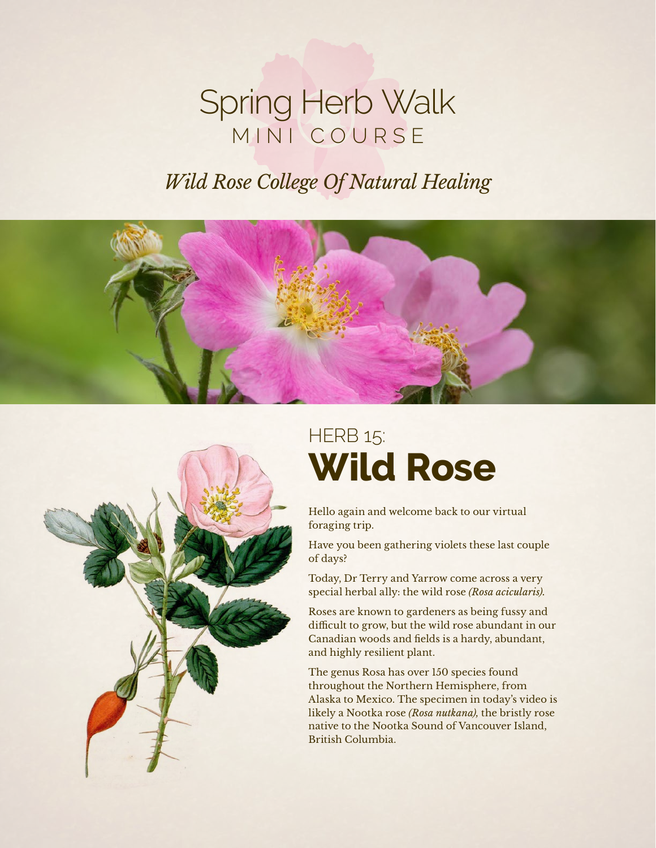## Spring Herb Walk MINI COURSE

## *Wild Rose College Of Natural Healing*





# **HERB 15: Wild Rose**

Hello again and welcome back to our virtual foraging trip.

Have you been gathering violets these last couple of days?

Today, Dr Terry and Yarrow come across a very special herbal ally: the wild rose *(Rosa acicularis).*

Roses are known to gardeners as being fussy and difficult to grow, but the wild rose abundant in our Canadian woods and fields is a hardy, abundant, and highly resilient plant.

The genus Rosa has over 150 species found throughout the Northern Hemisphere, from Alaska to Mexico. The specimen in today's video is likely a Nootka rose *(Rosa nutkana),* the bristly rose native to the Nootka Sound of Vancouver Island, British Columbia.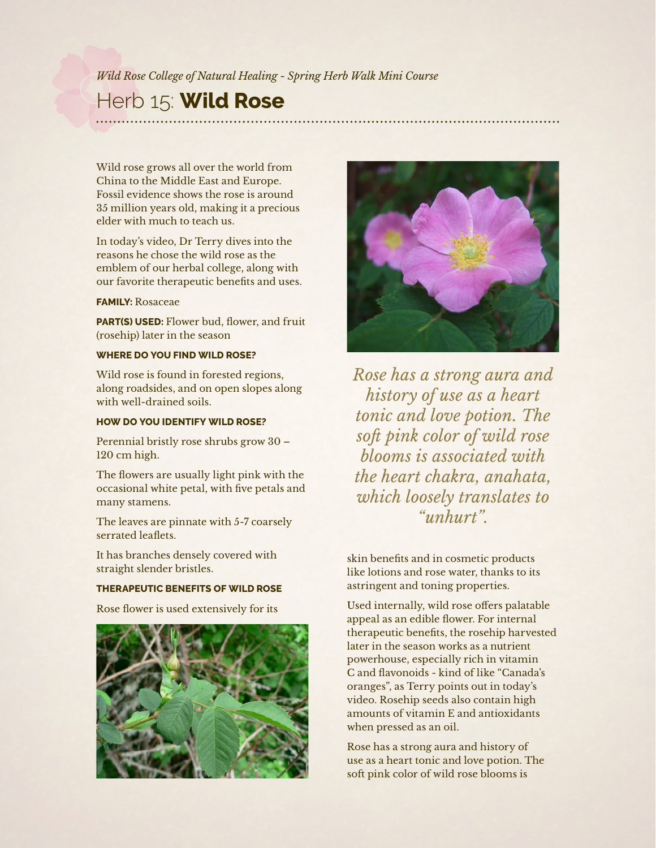#### *Wild Rose College of Natural Healing - Spring Herb Walk Mini Course*

### Herb 15: **Wild Rose**

Wild rose grows all over the world from China to the Middle East and Europe. Fossil evidence shows the rose is around 35 million years old, making it a precious elder with much to teach us.

In today's video, Dr Terry dives into the reasons he chose the wild rose as the emblem of our herbal college, along with our favorite therapeutic benefits and uses.

#### **FAMILY:** Rosaceae

**PART(S) USED:** Flower bud, flower, and fruit (rosehip) later in the season

#### **WHERE DO YOU FIND WILD ROSE?**

Wild rose is found in forested regions, along roadsides, and on open slopes along with well-drained soils.

#### **HOW DO YOU IDENTIFY WILD ROSE?**

Perennial bristly rose shrubs grow 30 – 120 cm high.

The flowers are usually light pink with the occasional white petal, with five petals and many stamens.

The leaves are pinnate with 5-7 coarsely serrated leaflets.

It has branches densely covered with straight slender bristles.

#### **THERAPEUTIC BENEFITS OF WILD ROSE**

Rose flower is used extensively for its





*Rose has a strong aura and history of use as a heart tonic and love potion. The soft pink color of wild rose blooms is associated with the heart chakra, anahata, which loosely translates to "unhurt".*

skin benefits and in cosmetic products like lotions and rose water, thanks to its astringent and toning properties.

Used internally, wild rose offers palatable appeal as an edible flower. For internal therapeutic benefits, the rosehip harvested later in the season works as a nutrient powerhouse, especially rich in vitamin C and flavonoids - kind of like "Canada's oranges", as Terry points out in today's video. Rosehip seeds also contain high amounts of vitamin E and antioxidants when pressed as an oil.

Rose has a strong aura and history of use as a heart tonic and love potion. The soft pink color of wild rose blooms is